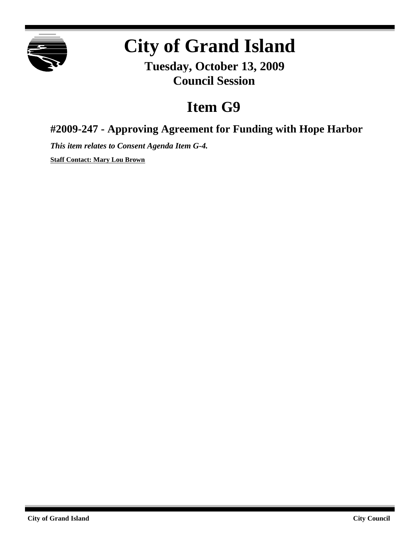

# **City of Grand Island**

**Tuesday, October 13, 2009 Council Session**

## **Item G9**

**#2009-247 - Approving Agreement for Funding with Hope Harbor**

*This item relates to Consent Agenda Item G-4.*

**Staff Contact: Mary Lou Brown**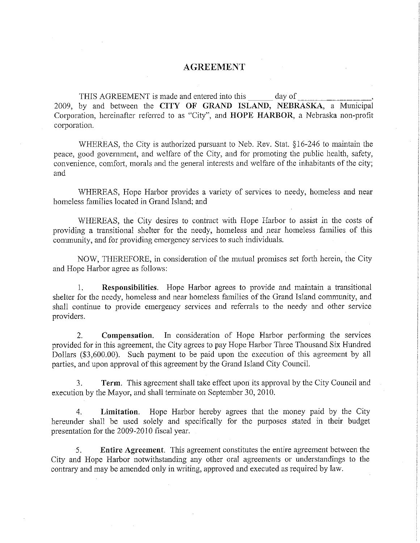#### **AGREEMENT**

day of THIS AGREEMENT is made and entered into this 2009, by and between the CITY OF GRAND ISLAND, NEBRASKA, a Municipal Corporation, hereinafter referred to as "City", and HOPE HARBOR, a Nebraska non-profit corporation.

WHEREAS, the City is authorized pursuant to Neb. Rev. Stat. §16-246 to maintain the peace, good government, and welfare of the City, and for promoting the public health, safety, convenience, comfort, morals and the general interests and welfare of the inhabitants of the city; and

WHEREAS, Hope Harbor provides a variety of services to needy, homeless and near homeless families located in Grand Island; and

WHEREAS, the City desires to contract with Hope Harbor to assist in the costs of providing a transitional shelter for the needy, homeless and near homeless families of this community, and for providing emergency services to such individuals.

NOW, THEREFORE, in consideration of the mutual promises set forth herein, the City and Hope Harbor agree as follows:

Responsibilities. Hope Harbor agrees to provide and maintain a transitional 1. shelter for the needy, homeless and near homeless families of the Grand Island community, and shall continue to provide emergency services and referrals to the needy and other service providers.

In consideration of Hope Harbor performing the services  $2^{\circ}$ Compensation. provided for in this agreement, the City agrees to pay Hope Harbor Three Thousand Six Hundred Dollars (\$3,600.00). Such payment to be paid upon the execution of this agreement by all parties, and upon approval of this agreement by the Grand Island City Council.

**Term.** This agreement shall take effect upon its approval by the City Council and 3. execution by the Mayor, and shall terminate on September 30, 2010.

Limitation. Hope Harbor hereby agrees that the money paid by the City  $4<sup>1</sup>$ hereunder shall be used solely and specifically for the purposes stated in their budget presentation for the 2009-2010 fiscal year.

5. Entire Agreement. This agreement constitutes the entire agreement between the City and Hope Harbor notwithstanding any other oral agreements or understandings to the contrary and may be amended only in writing, approved and executed as required by law.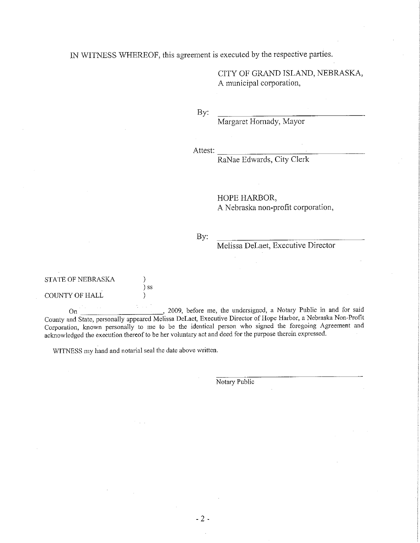IN WITNESS WHEREOF, this agreement is executed by the respective parties.

CITY OF GRAND ISLAND, NEBRASKA, A municipal corporation,

By:

Margaret Hornady, Mayor

Attest:

RaNae Edwards, City Clerk

#### HOPE HARBOR,

A Nebraska non-profit corporation,

By:

Melissa DeLaet, Executive Director

| STATE OF NEBRASKA |      |
|-------------------|------|
|                   | ) SS |
| COUNTY OF HALL    |      |

, 2009, before me, the undersigned, a Notary Public in and for said On County and State, personally appeared Melissa DeLaet, Executive Director of Hope Harbor, a Nebraska Non-Profit Corporation, known personally to me to be the identical person who signed the foregoing Agreement and acknowledged the execution thereof to be her voluntary act and deed for the purpose therein expressed.

WITNESS my hand and notarial seal the date above written.

Notary Public